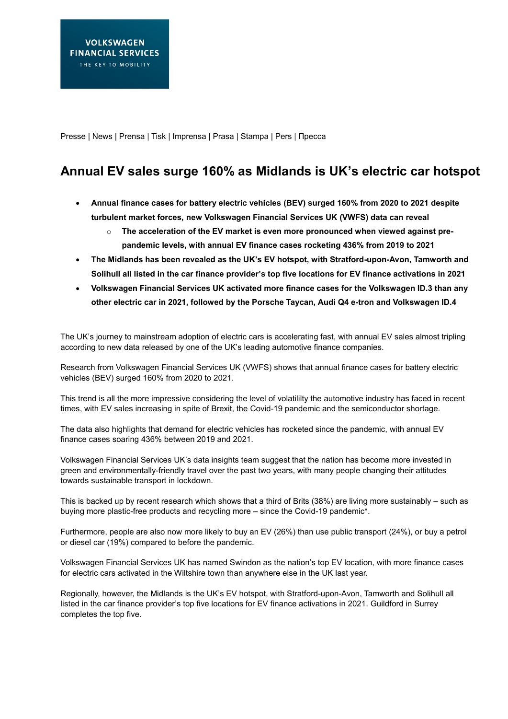Presse | News | Prensa | Tisk | Imprensa | Prasa | Stampa | Pers | Пресса

# **Annual EV sales surge 160% as Midlands is UK's electric car hotspot**

- **Annual finance cases for battery electric vehicles (BEV) surged 160% from 2020 to 2021 despite turbulent market forces, new Volkswagen Financial Services UK (VWFS) data can reveal**
	- o **The acceleration of the EV market is even more pronounced when viewed against prepandemic levels, with annual EV finance cases rocketing 436% from 2019 to 2021**
- **The Midlands has been revealed as the UK's EV hotspot, with Stratford-upon-Avon, Tamworth and Solihull all listed in the car finance provider's top five locations for EV finance activations in 2021**
- **Volkswagen Financial Services UK activated more finance cases for the Volkswagen ID.3 than any other electric car in 2021, followed by the Porsche Taycan, Audi Q4 e-tron and Volkswagen ID.4**

The UK's journey to mainstream adoption of electric cars is accelerating fast, with annual EV sales almost tripling according to new data released by one of the UK's leading automotive finance companies.

Research from Volkswagen Financial Services UK (VWFS) shows that annual finance cases for battery electric vehicles (BEV) surged 160% from 2020 to 2021.

This trend is all the more impressive considering the level of volatililty the automotive industry has faced in recent times, with EV sales increasing in spite of Brexit, the Covid-19 pandemic and the semiconductor shortage.

The data also highlights that demand for electric vehicles has rocketed since the pandemic, with annual EV finance cases soaring 436% between 2019 and 2021.

Volkswagen Financial Services UK's data insights team suggest that the nation has become more invested in green and environmentally-friendly travel over the past two years, with many people changing their attitudes towards sustainable transport in lockdown.

This is backed up by recent research which shows that a third of Brits (38%) are living more sustainably – such as buying more plastic-free products and recycling more – since the Covid-19 pandemic\*.

Furthermore, people are also now more likely to buy an EV (26%) than use public transport (24%), or buy a petrol or diesel car (19%) compared to before the pandemic.

Volkswagen Financial Services UK has named Swindon as the nation's top EV location, with more finance cases for electric cars activated in the Wiltshire town than anywhere else in the UK last year.

Regionally, however, the Midlands is the UK's EV hotspot, with Stratford-upon-Avon, Tamworth and Solihull all listed in the car finance provider's top five locations for EV finance activations in 2021. Guildford in Surrey completes the top five.